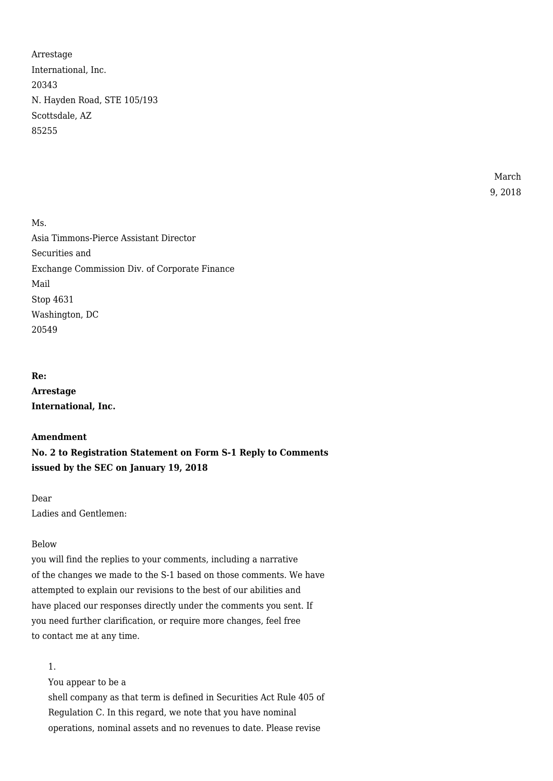Arrestage International, Inc. 20343 N. Hayden Road, STE 105/193 Scottsdale, AZ 85255

> March 9, 2018

Ms. Asia Timmons-Pierce Assistant Director Securities and Exchange Commission Div. of Corporate Finance Mail Stop 4631 Washington, DC 20549

**Re:**

**Arrestage International, Inc.**

#### **Amendment**

**No. 2 to Registration Statement on Form S-1 Reply to Comments issued by the SEC on January 19, 2018**

Dear Ladies and Gentlemen:

### Below

you will find the replies to your comments, including a narrative of the changes we made to the S-1 based on those comments. We have attempted to explain our revisions to the best of our abilities and have placed our responses directly under the comments you sent. If you need further clarification, or require more changes, feel free to contact me at any time.

1.

You appear to be a

shell company as that term is defined in Securities Act Rule 405 of Regulation C. In this regard, we note that you have nominal operations, nominal assets and no revenues to date. Please revise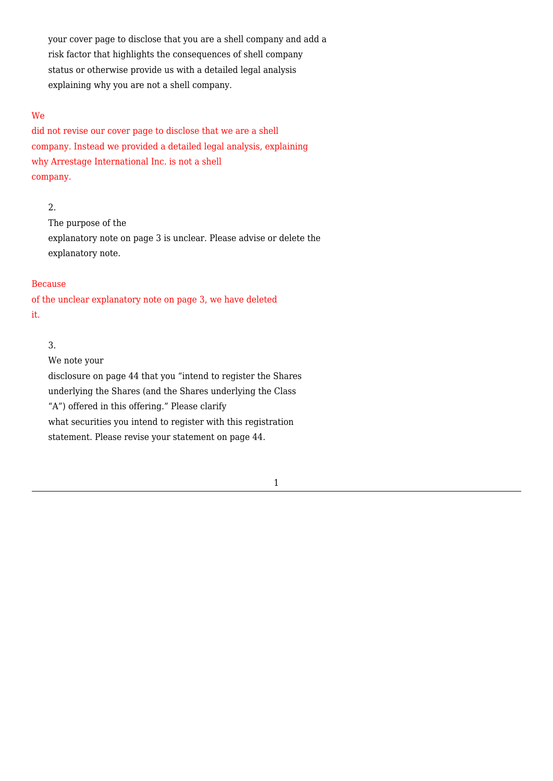your cover page to disclose that you are a shell company and add a risk factor that highlights the consequences of shell company status or otherwise provide us with a detailed legal analysis explaining why you are not a shell company.

### We

did not revise our cover page to disclose that we are a shell company. Instead we provided a detailed legal analysis, explaining why Arrestage International Inc. is not a shell company.

# 2.

The purpose of the explanatory note on page 3 is unclear. Please advise or delete the explanatory note.

### Because

of the unclear explanatory note on page 3, we have deleted it.

#### 3.

We note your disclosure on page 44 that you "intend to register the Shares underlying the Shares (and the Shares underlying the Class "A") offered in this offering." Please clarify what securities you intend to register with this registration statement. Please revise your statement on page 44.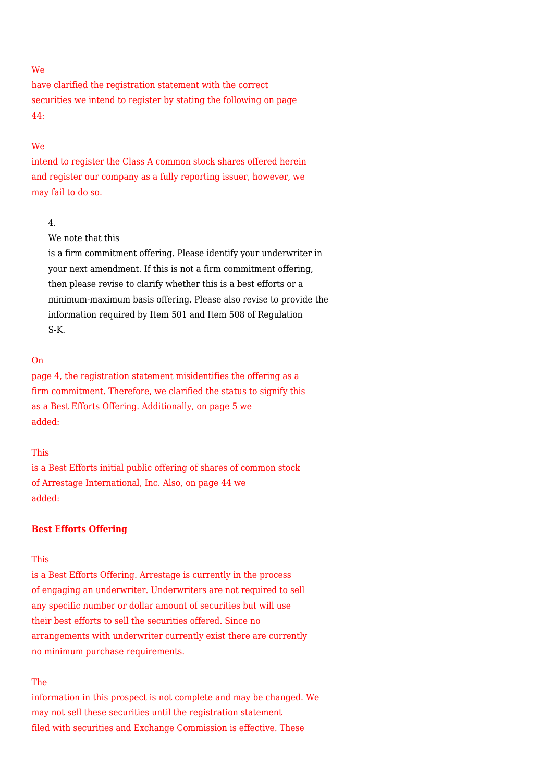### We

have clarified the registration statement with the correct securities we intend to register by stating the following on page 44:

#### We

intend to register the Class A common stock shares offered herein and register our company as a fully reporting issuer, however, we may fail to do so.

# 4.

We note that this

is a firm commitment offering. Please identify your underwriter in your next amendment. If this is not a firm commitment offering, then please revise to clarify whether this is a best efforts or a minimum-maximum basis offering. Please also revise to provide the information required by Item 501 and Item 508 of Regulation S-K.

# On

page 4, the registration statement misidentifies the offering as a firm commitment. Therefore, we clarified the status to signify this as a Best Efforts Offering. Additionally, on page 5 we added:

### This

is a Best Efforts initial public offering of shares of common stock of Arrestage International, Inc. Also, on page 44 we added:

#### **Best Efforts Offering**

#### This

is a Best Efforts Offering. Arrestage is currently in the process of engaging an underwriter. Underwriters are not required to sell any specific number or dollar amount of securities but will use their best efforts to sell the securities offered. Since no arrangements with underwriter currently exist there are currently no minimum purchase requirements.

# The

information in this prospect is not complete and may be changed. We may not sell these securities until the registration statement filed with securities and Exchange Commission is effective. These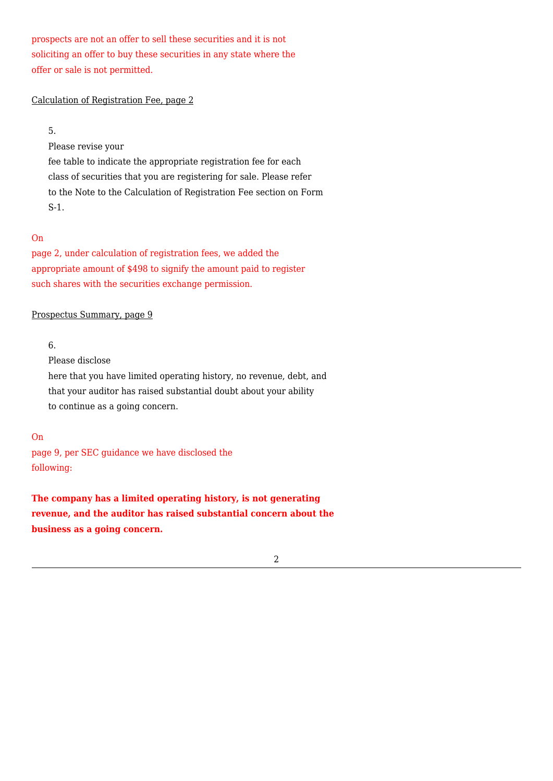prospects are not an offer to sell these securities and it is not soliciting an offer to buy these securities in any state where the offer or sale is not permitted.

#### Calculation of Registration Fee, page 2

5.

Please revise your

fee table to indicate the appropriate registration fee for each class of securities that you are registering for sale. Please refer to the Note to the Calculation of Registration Fee section on Form S-1.

### On

page 2, under calculation of registration fees, we added the appropriate amount of \$498 to signify the amount paid to register such shares with the securities exchange permission.

### Prospectus Summary, page 9

# 6.

Please disclose

here that you have limited operating history, no revenue, debt, and that your auditor has raised substantial doubt about your ability to continue as a going concern.

### On

page 9, per SEC guidance we have disclosed the following:

**The company has a limited operating history, is not generating revenue, and the auditor has raised substantial concern about the business as a going concern.**

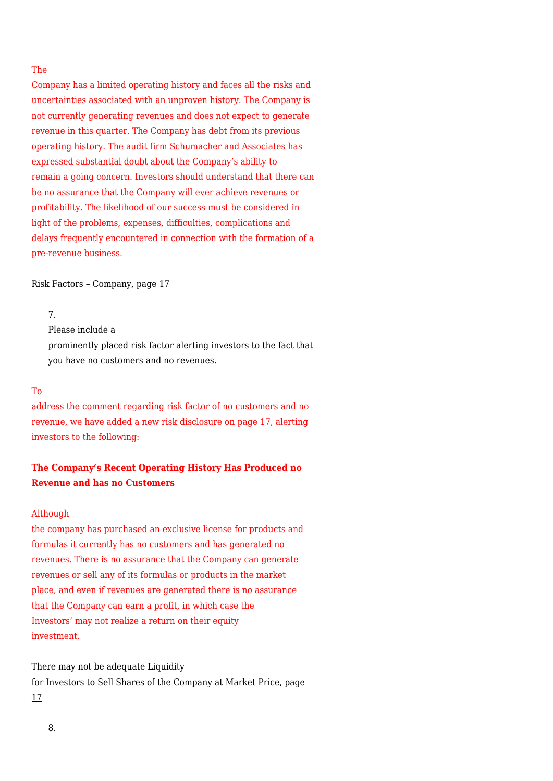### The

Company has a limited operating history and faces all the risks and uncertainties associated with an unproven history. The Company is not currently generating revenues and does not expect to generate revenue in this quarter. The Company has debt from its previous operating history. The audit firm Schumacher and Associates has expressed substantial doubt about the Company's ability to remain a going concern. Investors should understand that there can be no assurance that the Company will ever achieve revenues or profitability. The likelihood of our success must be considered in light of the problems, expenses, difficulties, complications and delays frequently encountered in connection with the formation of a pre-revenue business.

#### Risk Factors – Company, page 17

7.

Please include a

prominently placed risk factor alerting investors to the fact that you have no customers and no revenues.

#### To

address the comment regarding risk factor of no customers and no revenue, we have added a new risk disclosure on page 17, alerting investors to the following:

# **The Company's Recent Operating History Has Produced no Revenue and has no Customers**

### **Although**

the company has purchased an exclusive license for products and formulas it currently has no customers and has generated no revenues. There is no assurance that the Company can generate revenues or sell any of its formulas or products in the market place, and even if revenues are generated there is no assurance that the Company can earn a profit, in which case the Investors' may not realize a return on their equity investment.

There may not be adequate Liquidity for Investors to Sell Shares of the Company at Market Price, page 17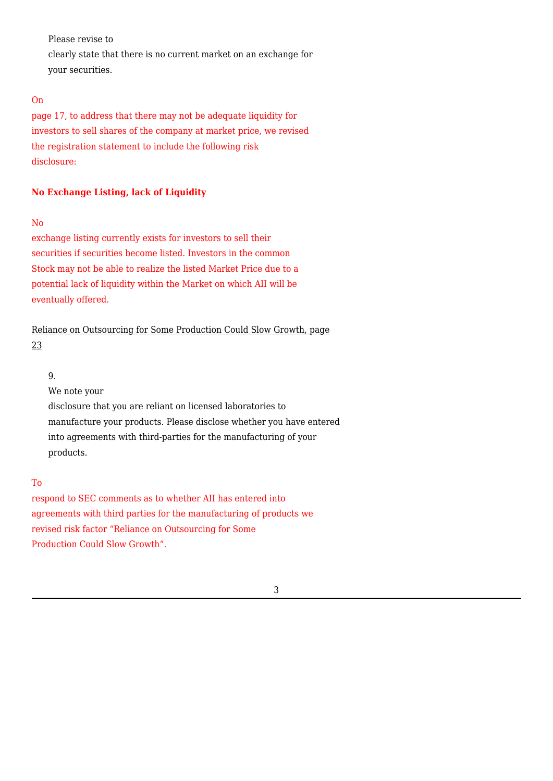Please revise to

clearly state that there is no current market on an exchange for your securities.

# On

page 17, to address that there may not be adequate liquidity for investors to sell shares of the company at market price, we revised the registration statement to include the following risk disclosure:

# **No Exchange Listing, lack of Liquidity**

# No

exchange listing currently exists for investors to sell their securities if securities become listed. Investors in the common Stock may not be able to realize the listed Market Price due to a potential lack of liquidity within the Market on which AII will be eventually offered.

Reliance on Outsourcing for Some Production Could Slow Growth, page 23

### 9.

We note your disclosure that you are reliant on licensed laboratories to manufacture your products. Please disclose whether you have entered into agreements with third-parties for the manufacturing of your products.

# To

respond to SEC comments as to whether AII has entered into agreements with third parties for the manufacturing of products we revised risk factor "Reliance on Outsourcing for Some Production Could Slow Growth".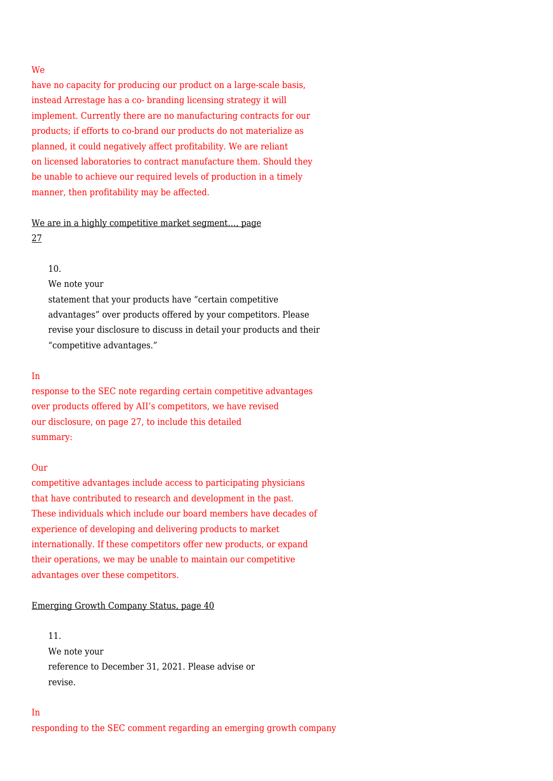### We

have no capacity for producing our product on a large-scale basis, instead Arrestage has a co- branding licensing strategy it will implement. Currently there are no manufacturing contracts for our products; if efforts to co-brand our products do not materialize as planned, it could negatively affect profitability. We are reliant on licensed laboratories to contract manufacture them. Should they be unable to achieve our required levels of production in a timely manner, then profitability may be affected.

# We are in a highly competitive market segment…, page 27

### 10.

We note your

statement that your products have "certain competitive advantages" over products offered by your competitors. Please revise your disclosure to discuss in detail your products and their "competitive advantages."

#### In

response to the SEC note regarding certain competitive advantages over products offered by AII's competitors, we have revised our disclosure, on page 27, to include this detailed summary:

#### Our

competitive advantages include access to participating physicians that have contributed to research and development in the past. These individuals which include our board members have decades of experience of developing and delivering products to market internationally. If these competitors offer new products, or expand their operations, we may be unable to maintain our competitive advantages over these competitors.

#### Emerging Growth Company Status, page 40

11. We note your reference to December 31, 2021. Please advise or revise.

# responding to the SEC comment regarding an emerging growth company

In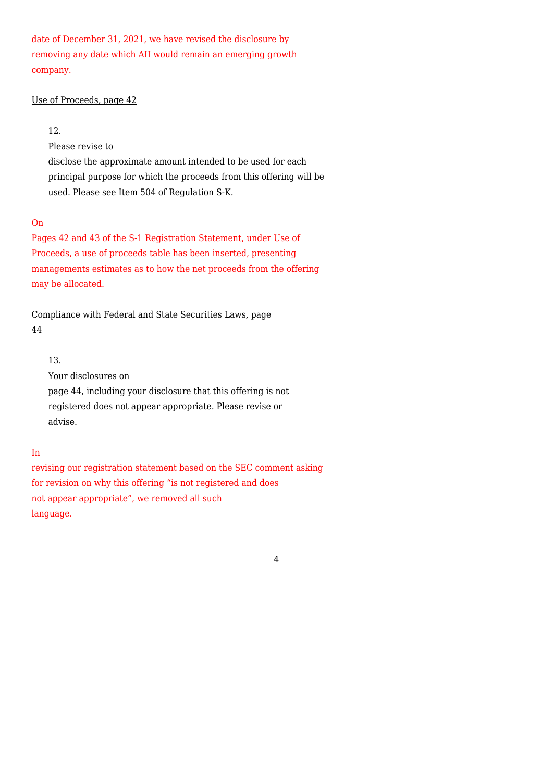date of December 31, 2021, we have revised the disclosure by removing any date which AII would remain an emerging growth company.

### Use of Proceeds, page 42

# 12.

Please revise to

disclose the approximate amount intended to be used for each principal purpose for which the proceeds from this offering will be used. Please see Item 504 of Regulation S-K.

# On

Pages 42 and 43 of the S-1 Registration Statement, under Use of Proceeds, a use of proceeds table has been inserted, presenting managements estimates as to how the net proceeds from the offering may be allocated.

# Compliance with Federal and State Securities Laws, page 44

# 13.

Your disclosures on page 44, including your disclosure that this offering is not registered does not appear appropriate. Please revise or advise.

# In

revising our registration statement based on the SEC comment asking for revision on why this offering "is not registered and does not appear appropriate", we removed all such language.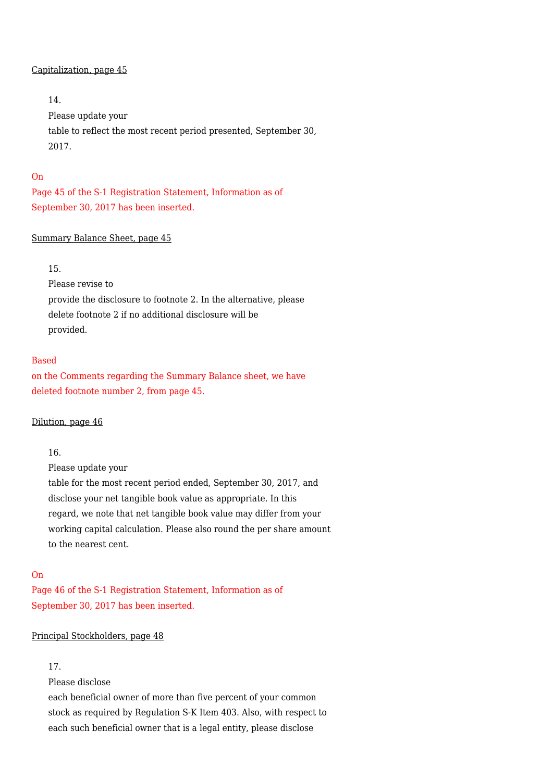#### Capitalization, page 45

# 14.

Please update your table to reflect the most recent period presented, September 30, 2017.

### On

Page 45 of the S-1 Registration Statement, Information as of September 30, 2017 has been inserted.

# Summary Balance Sheet, page 45

# 15.

Please revise to provide the disclosure to footnote 2. In the alternative, please delete footnote 2 if no additional disclosure will be provided.

# Based

on the Comments regarding the Summary Balance sheet, we have deleted footnote number 2, from page 45.

### Dilution, page 46

# 16.

Please update your

table for the most recent period ended, September 30, 2017, and disclose your net tangible book value as appropriate. In this regard, we note that net tangible book value may differ from your working capital calculation. Please also round the per share amount to the nearest cent.

### On

Page 46 of the S-1 Registration Statement, Information as of September 30, 2017 has been inserted.

# Principal Stockholders, page 48

# 17.

Please disclose

each beneficial owner of more than five percent of your common stock as required by Regulation S-K Item 403. Also, with respect to each such beneficial owner that is a legal entity, please disclose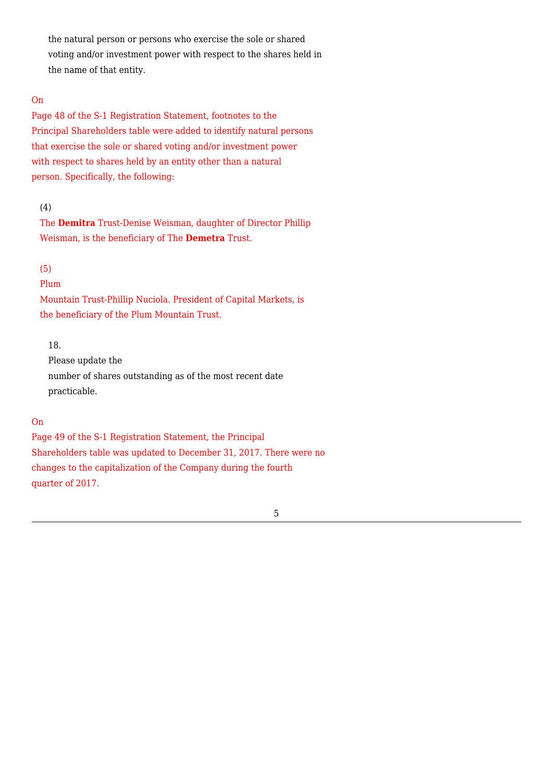the natural person or persons who exercise the sole or shared voting and/or investment power with respect to the shares held in the name of that entity.

# On

Page 48 of the S-1 Registration Statement, footnotes to the Principal Shareholders table were added to identify natural persons that exercise the sole or shared voting and/or investment power with respect to shares held by an entity other than a natural person. Specifically, the following:

## (4)

The **Demitra** Trust-Denise Weisman, daughter of Director Phillip Weisman, is the beneficiary of The **Demetra** Trust.

# (5)

Plum

Mountain Trust-Phillip Nuciola. President of Capital Markets, is the beneficiary of the Plum Mountain Trust.

# 18.

Please update the number of shares outstanding as of the most recent date practicable.

# On

Page 49 of the S-1 Registration Statement, the Principal Shareholders table was updated to December 31, 2017. There were no changes to the capitalization of the Company during the fourth quarter of 2017.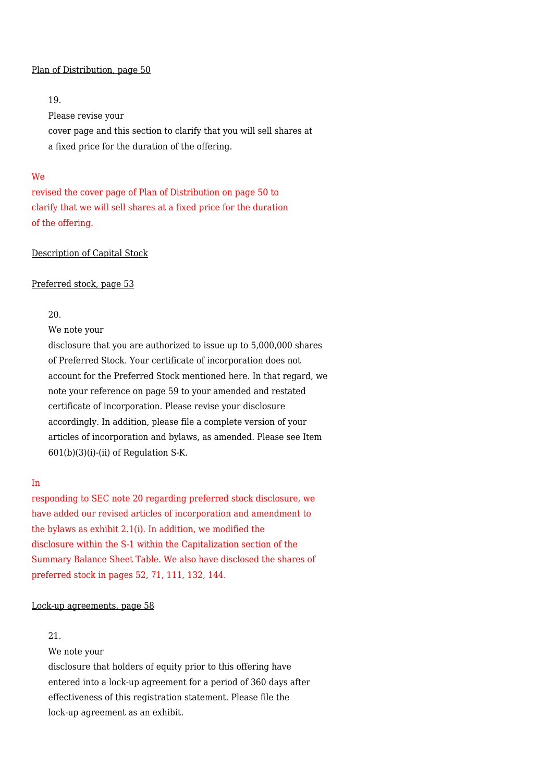#### Plan of Distribution, page 50

# 19.

Please revise your cover page and this section to clarify that you will sell shares at a fixed price for the duration of the offering.

#### We

revised the cover page of Plan of Distribution on page 50 to clarify that we will sell shares at a fixed price for the duration of the offering.

# Description of Capital Stock

#### Preferred stock, page 53

#### 20.

We note your

disclosure that you are authorized to issue up to 5,000,000 shares of Preferred Stock. Your certificate of incorporation does not account for the Preferred Stock mentioned here. In that regard, we note your reference on page 59 to your amended and restated certificate of incorporation. Please revise your disclosure accordingly. In addition, please file a complete version of your articles of incorporation and bylaws, as amended. Please see Item  $601(b)(3)(i)$ -(ii) of Regulation S-K.

# In

responding to SEC note 20 regarding preferred stock disclosure, we have added our revised articles of incorporation and amendment to the bylaws as exhibit 2.1(i). In addition, we modified the disclosure within the S-1 within the Capitalization section of the Summary Balance Sheet Table. We also have disclosed the shares of preferred stock in pages 52, 71, 111, 132, 144.

#### Lock-up agreements, page 58

# 21.

We note your

disclosure that holders of equity prior to this offering have entered into a lock-up agreement for a period of 360 days after effectiveness of this registration statement. Please file the lock-up agreement as an exhibit.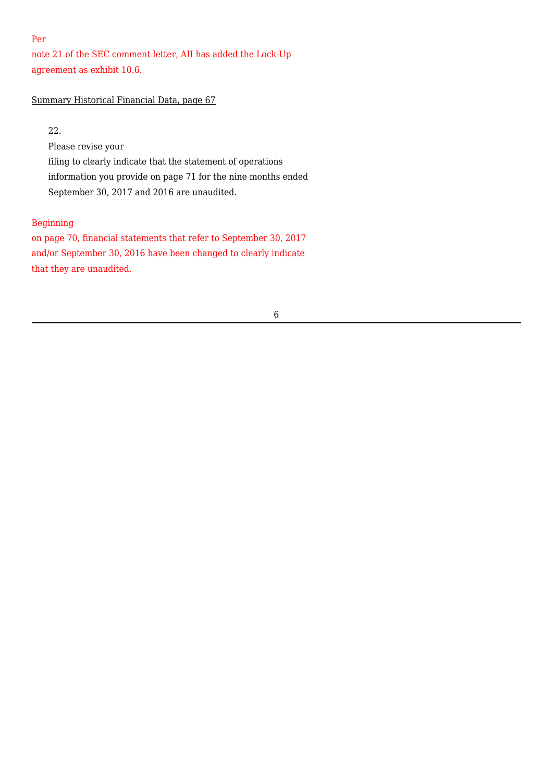# Per

note 21 of the SEC comment letter, AII has added the Lock-Up agreement as exhibit 10.6.

# Summary Historical Financial Data, page 67

22.

Please revise your filing to clearly indicate that the statement of operations information you provide on page 71 for the nine months ended September 30, 2017 and 2016 are unaudited.

# Beginning

on page 70, financial statements that refer to September 30, 2017 and/or September 30, 2016 have been changed to clearly indicate that they are unaudited.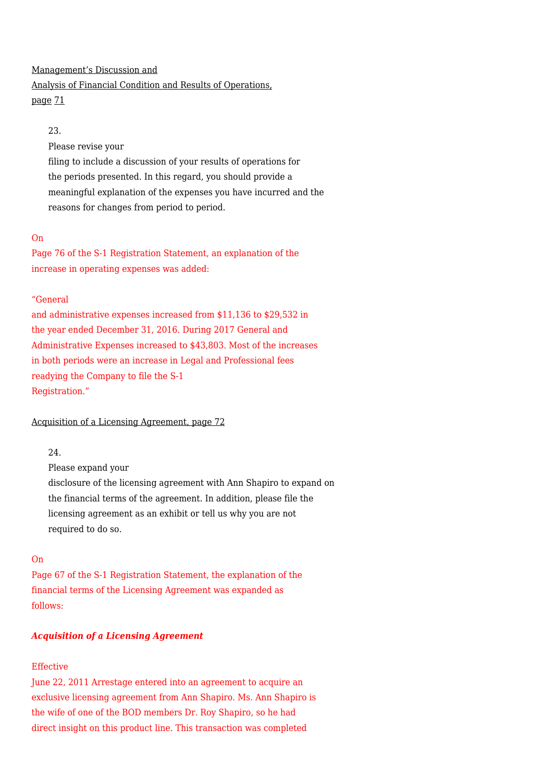# Management's Discussion and Analysis of Financial Condition and Results of Operations, page 71

# 23.

Please revise your

filing to include a discussion of your results of operations for the periods presented. In this regard, you should provide a meaningful explanation of the expenses you have incurred and the reasons for changes from period to period.

# On

Page 76 of the S-1 Registration Statement, an explanation of the increase in operating expenses was added:

# "General

and administrative expenses increased from \$11,136 to \$29,532 in the year ended December 31, 2016. During 2017 General and Administrative Expenses increased to \$43,803. Most of the increases in both periods were an increase in Legal and Professional fees readying the Company to file the S-1 Registration."

Acquisition of a Licensing Agreement, page 72

# 24.

Please expand your disclosure of the licensing agreement with Ann Shapiro to expand on the financial terms of the agreement. In addition, please file the licensing agreement as an exhibit or tell us why you are not required to do so.

# On

Page 67 of the S-1 Registration Statement, the explanation of the financial terms of the Licensing Agreement was expanded as follows:

# *Acquisition of a Licensing Agreement*

# Effective

June 22, 2011 Arrestage entered into an agreement to acquire an exclusive licensing agreement from Ann Shapiro. Ms. Ann Shapiro is the wife of one of the BOD members Dr. Roy Shapiro, so he had direct insight on this product line. This transaction was completed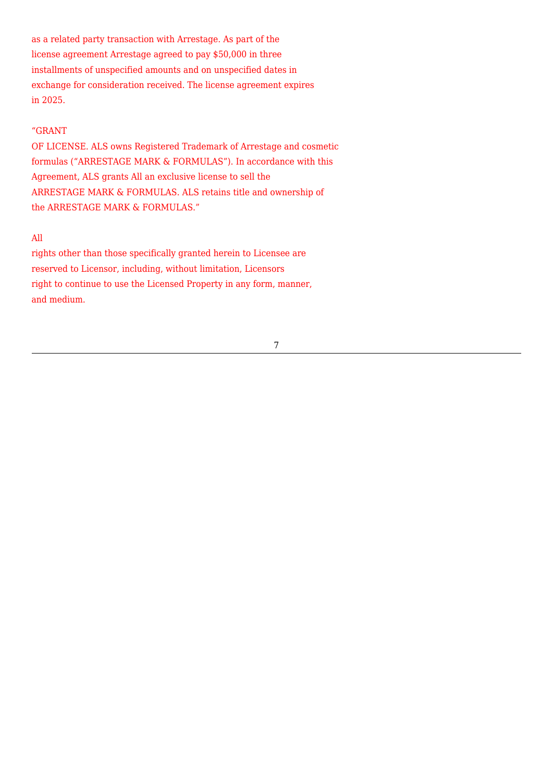as a related party transaction with Arrestage. As part of the license agreement Arrestage agreed to pay \$50,000 in three installments of unspecified amounts and on unspecified dates in exchange for consideration received. The license agreement expires in 2025.

# "GRANT

OF LICENSE. ALS owns Registered Trademark of Arrestage and cosmetic formulas ("ARRESTAGE MARK & FORMULAS"). In accordance with this Agreement, ALS grants All an exclusive license to sell the ARRESTAGE MARK & FORMULAS. ALS retains title and ownership of the ARRESTAGE MARK & FORMULAS."

# All

rights other than those specifically granted herein to Licensee are reserved to Licensor, including, without limitation, Licensors right to continue to use the Licensed Property in any form, manner, and medium.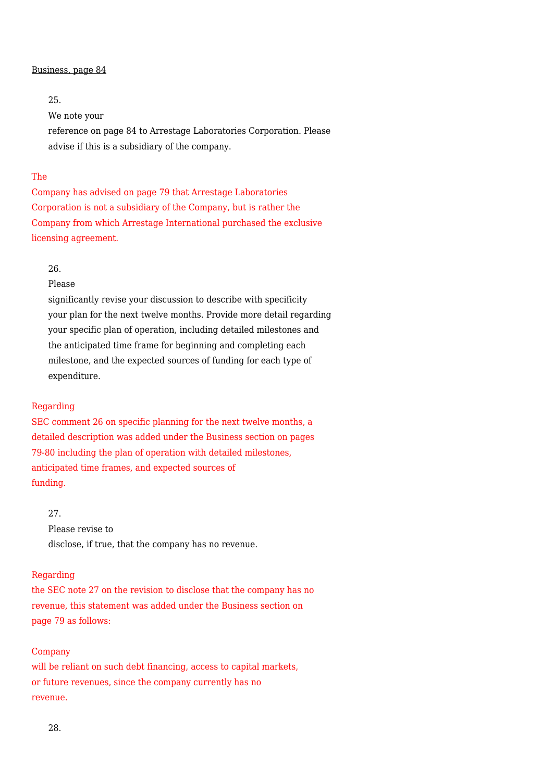#### Business, page 84

# 25.

We note your

reference on page 84 to Arrestage Laboratories Corporation. Please advise if this is a subsidiary of the company.

# The

Company has advised on page 79 that Arrestage Laboratories Corporation is not a subsidiary of the Company, but is rather the Company from which Arrestage International purchased the exclusive licensing agreement.

#### 26.

Please

significantly revise your discussion to describe with specificity your plan for the next twelve months. Provide more detail regarding your specific plan of operation, including detailed milestones and the anticipated time frame for beginning and completing each milestone, and the expected sources of funding for each type of expenditure.

#### Regarding

SEC comment 26 on specific planning for the next twelve months, a detailed description was added under the Business section on pages 79-80 including the plan of operation with detailed milestones, anticipated time frames, and expected sources of funding.

### 27.

Please revise to disclose, if true, that the company has no revenue.

#### Regarding

the SEC note 27 on the revision to disclose that the company has no revenue, this statement was added under the Business section on page 79 as follows:

#### Company

will be reliant on such debt financing, access to capital markets, or future revenues, since the company currently has no revenue.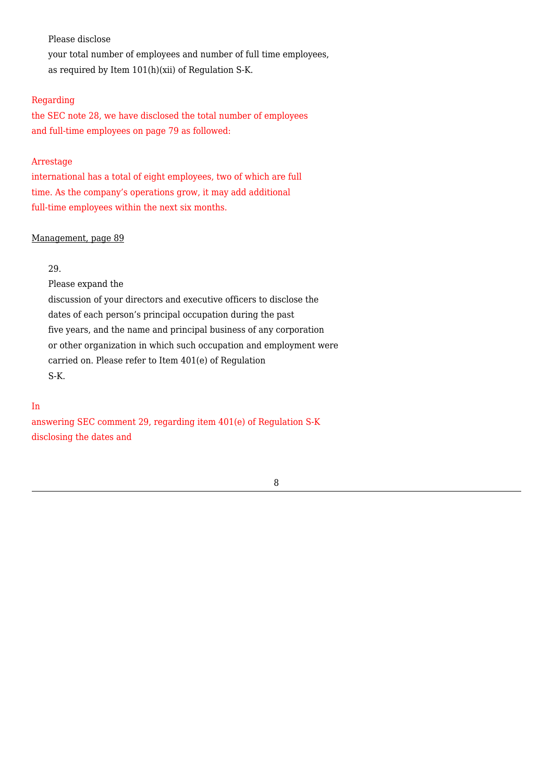Please disclose

your total number of employees and number of full time employees, as required by Item 101(h)(xii) of Regulation S-K.

# Regarding

the SEC note 28, we have disclosed the total number of employees and full-time employees on page 79 as followed:

### Arrestage

international has a total of eight employees, two of which are full time. As the company's operations grow, it may add additional full-time employees within the next six months.

# Management, page 89

### 29.

Please expand the

discussion of your directors and executive officers to disclose the dates of each person's principal occupation during the past five years, and the name and principal business of any corporation or other organization in which such occupation and employment were carried on. Please refer to Item 401(e) of Regulation S-K.

# In

answering SEC comment 29, regarding item 401(e) of Regulation S-K disclosing the dates and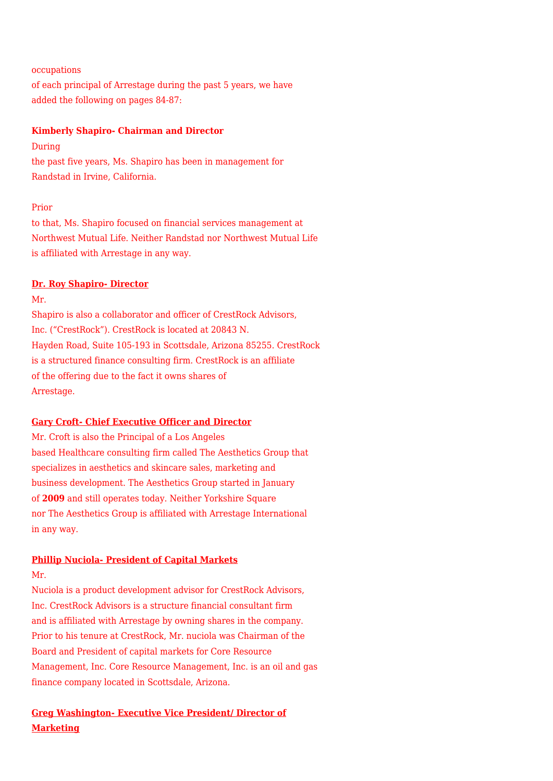occupations

of each principal of Arrestage during the past 5 years, we have added the following on pages 84-87:

# **Kimberly Shapiro- Chairman and Director**

During the past five years, Ms. Shapiro has been in management for Randstad in Irvine, California.

### Prior

to that, Ms. Shapiro focused on financial services management at Northwest Mutual Life. Neither Randstad nor Northwest Mutual Life is affiliated with Arrestage in any way.

# **Dr. Roy Shapiro- Director**

Mr.

Shapiro is also a collaborator and officer of CrestRock Advisors, Inc. ("CrestRock"). CrestRock is located at 20843 N. Hayden Road, Suite 105-193 in Scottsdale, Arizona 85255. CrestRock is a structured finance consulting firm. CrestRock is an affiliate of the offering due to the fact it owns shares of Arrestage.

# **Gary Croft- Chief Executive Officer and Director**

Mr. Croft is also the Principal of a Los Angeles based Healthcare consulting firm called The Aesthetics Group that specializes in aesthetics and skincare sales, marketing and business development. The Aesthetics Group started in January of **2009** and still operates today. Neither Yorkshire Square nor The Aesthetics Group is affiliated with Arrestage International in any way.

# **Phillip Nuciola- President of Capital Markets**

Mr.

Nuciola is a product development advisor for CrestRock Advisors, Inc. CrestRock Advisors is a structure financial consultant firm and is affiliated with Arrestage by owning shares in the company. Prior to his tenure at CrestRock, Mr. nuciola was Chairman of the Board and President of capital markets for Core Resource Management, Inc. Core Resource Management, Inc. is an oil and gas finance company located in Scottsdale, Arizona.

# **Greg Washington- Executive Vice President/ Director of Marketing**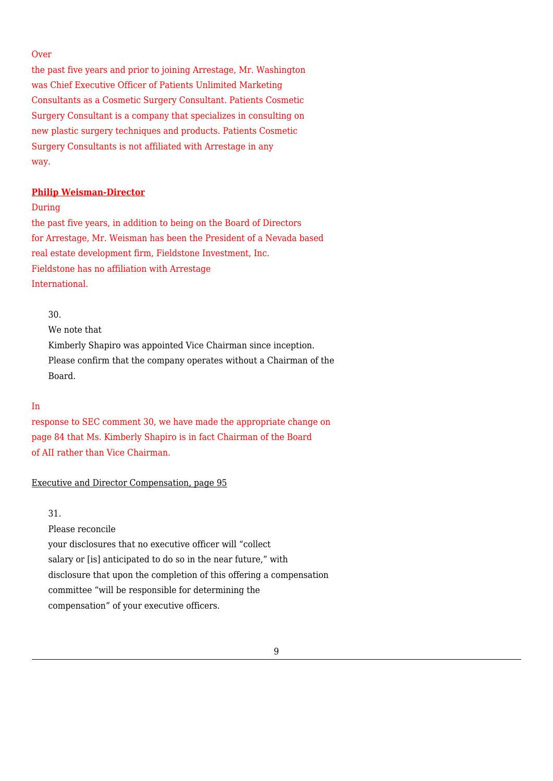#### **Over**

the past five years and prior to joining Arrestage, Mr. Washington was Chief Executive Officer of Patients Unlimited Marketing Consultants as a Cosmetic Surgery Consultant. Patients Cosmetic Surgery Consultant is a company that specializes in consulting on new plastic surgery techniques and products. Patients Cosmetic Surgery Consultants is not affiliated with Arrestage in any way.

### **Philip Weisman-Director**

During

the past five years, in addition to being on the Board of Directors for Arrestage, Mr. Weisman has been the President of a Nevada based real estate development firm, Fieldstone Investment, Inc. Fieldstone has no affiliation with Arrestage International.

30.

We note that Kimberly Shapiro was appointed Vice Chairman since inception. Please confirm that the company operates without a Chairman of the Board.

### In

response to SEC comment 30, we have made the appropriate change on page 84 that Ms. Kimberly Shapiro is in fact Chairman of the Board of AII rather than Vice Chairman.

### Executive and Director Compensation, page 95

31.

Please reconcile your disclosures that no executive officer will "collect salary or [is] anticipated to do so in the near future," with disclosure that upon the completion of this offering a compensation committee "will be responsible for determining the compensation" of your executive officers.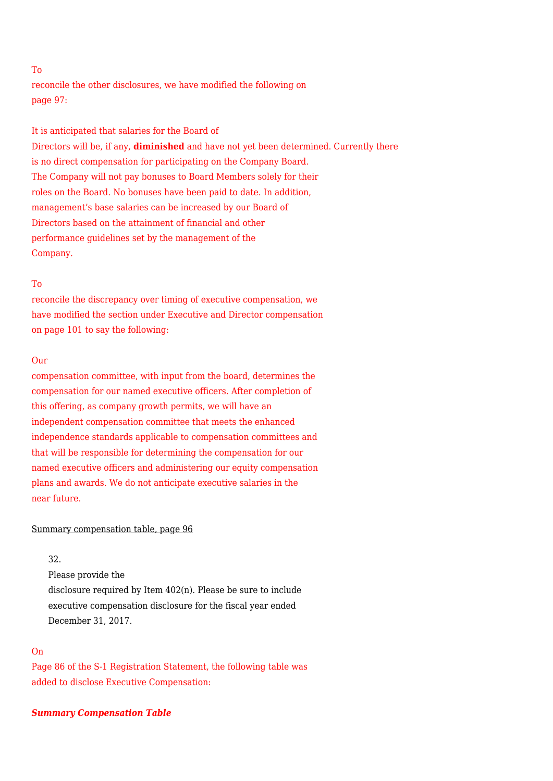# To

reconcile the other disclosures, we have modified the following on page 97:

It is anticipated that salaries for the Board of Directors will be, if any, **diminished** and have not yet been determined. Currently there is no direct compensation for participating on the Company Board. The Company will not pay bonuses to Board Members solely for their roles on the Board. No bonuses have been paid to date. In addition, management's base salaries can be increased by our Board of Directors based on the attainment of financial and other performance guidelines set by the management of the Company.

#### To

reconcile the discrepancy over timing of executive compensation, we have modified the section under Executive and Director compensation on page 101 to say the following:

# Our

compensation committee, with input from the board, determines the compensation for our named executive officers. After completion of this offering, as company growth permits, we will have an independent compensation committee that meets the enhanced independence standards applicable to compensation committees and that will be responsible for determining the compensation for our named executive officers and administering our equity compensation plans and awards. We do not anticipate executive salaries in the near future.

#### Summary compensation table, page 96

#### 32.

Please provide the disclosure required by Item 402(n). Please be sure to include executive compensation disclosure for the fiscal year ended December 31, 2017.

# On

Page 86 of the S-1 Registration Statement, the following table was added to disclose Executive Compensation:

### *Summary Compensation Table*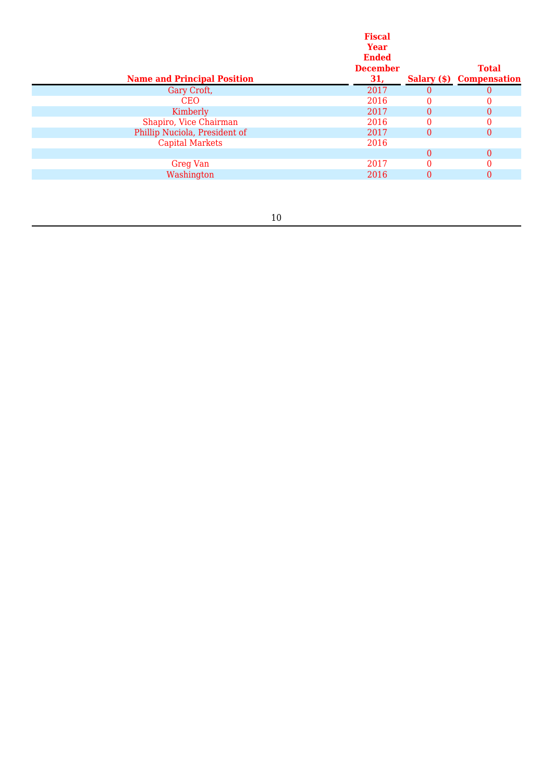| <b>Name and Principal Position</b> | <b>Fiscal</b><br>Year<br><b>Ended</b><br><b>December</b><br>31, |          | <b>Total</b><br><b>Salary (\$)</b> Compensation |
|------------------------------------|-----------------------------------------------------------------|----------|-------------------------------------------------|
| Gary Croft,                        | 2017                                                            | $\theta$ |                                                 |
| <b>CEO</b>                         | 2016                                                            | 0        | 0                                               |
| Kimberly                           | 2017                                                            | $\Omega$ | 0                                               |
| Shapiro, Vice Chairman             | 2016                                                            | 0        | 0                                               |
| Phillip Nuciola, President of      | 2017                                                            | $\Omega$ | $\theta$                                        |
| <b>Capital Markets</b>             | 2016                                                            |          |                                                 |
|                                    |                                                                 | $\Omega$ | $\theta$                                        |
| <b>Greg Van</b>                    | 2017                                                            |          |                                                 |
| Washington                         | 2016                                                            | $\theta$ | $\theta$                                        |
|                                    |                                                                 |          |                                                 |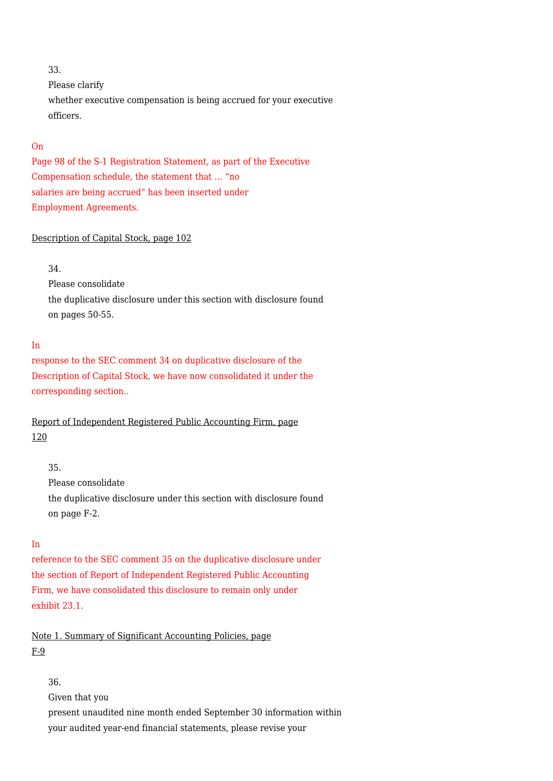# 33.

Please clarify whether executive compensation is being accrued for your executive officers.

# On

Page 98 of the S-1 Registration Statement, as part of the Executive Compensation schedule, the statement that … "no salaries are being accrued" has been inserted under Employment Agreements.

# Description of Capital Stock, page 102

# 34.

Please consolidate the duplicative disclosure under this section with disclosure found on pages 50-55.

# In

response to the SEC comment 34 on duplicative disclosure of the Description of Capital Stock, we have now consolidated it under the corresponding section..

Report of Independent Registered Public Accounting Firm, page 120

### 35.

Please consolidate the duplicative disclosure under this section with disclosure found on page F-2.

### In

reference to the SEC comment 35 on the duplicative disclosure under the section of Report of Independent Registered Public Accounting Firm, we have consolidated this disclosure to remain only under exhibit 23.1.

Note 1. Summary of Significant Accounting Policies, page F-9

36.

Given that you

present unaudited nine month ended September 30 information within your audited year-end financial statements, please revise your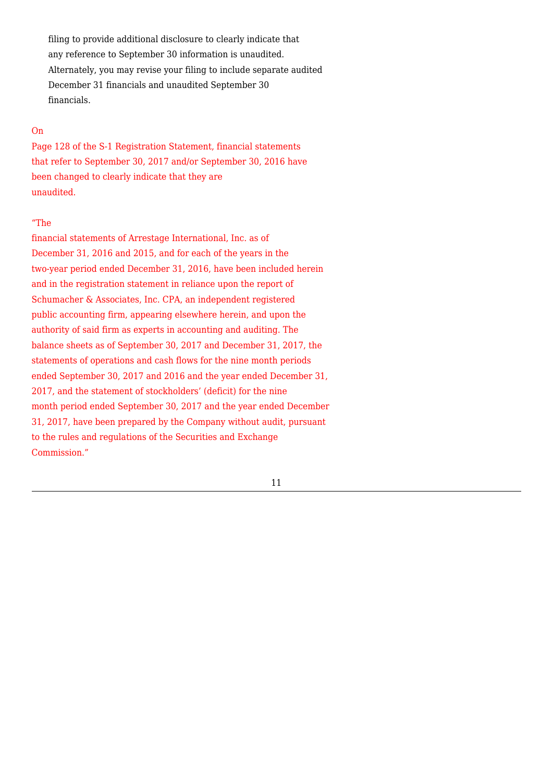filing to provide additional disclosure to clearly indicate that any reference to September 30 information is unaudited. Alternately, you may revise your filing to include separate audited December 31 financials and unaudited September 30 financials.

# On

Page 128 of the S-1 Registration Statement, financial statements that refer to September 30, 2017 and/or September 30, 2016 have been changed to clearly indicate that they are unaudited.

#### "The

financial statements of Arrestage International, Inc. as of December 31, 2016 and 2015, and for each of the years in the two-year period ended December 31, 2016, have been included herein and in the registration statement in reliance upon the report of Schumacher & Associates, Inc. CPA, an independent registered public accounting firm, appearing elsewhere herein, and upon the authority of said firm as experts in accounting and auditing. The balance sheets as of September 30, 2017 and December 31, 2017, the statements of operations and cash flows for the nine month periods ended September 30, 2017 and 2016 and the year ended December 31, 2017, and the statement of stockholders' (deficit) for the nine month period ended September 30, 2017 and the year ended December 31, 2017, have been prepared by the Company without audit, pursuant to the rules and regulations of the Securities and Exchange Commission."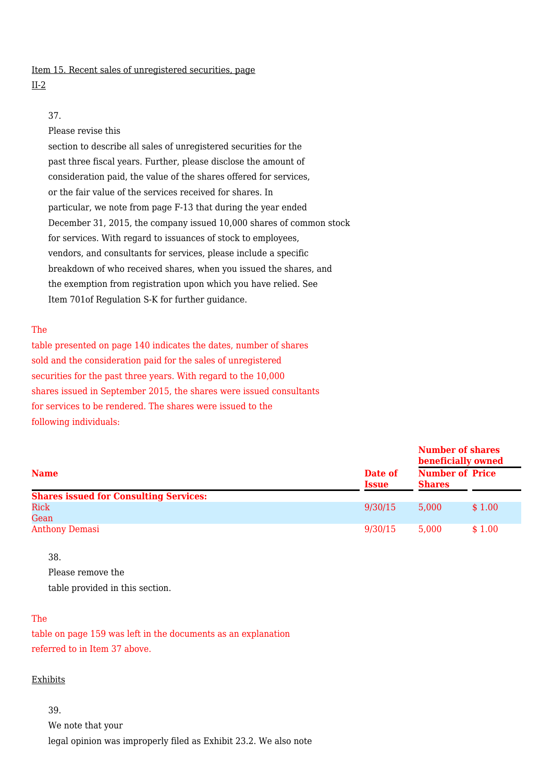# Item 15. Recent sales of unregistered securities, page

### II-2

# 37.

# Please revise this

section to describe all sales of unregistered securities for the past three fiscal years. Further, please disclose the amount of consideration paid, the value of the shares offered for services, or the fair value of the services received for shares. In particular, we note from page F-13 that during the year ended December 31, 2015, the company issued 10,000 shares of common stock for services. With regard to issuances of stock to employees, vendors, and consultants for services, please include a specific breakdown of who received shares, when you issued the shares, and the exemption from registration upon which you have relied. See Item 701of Regulation S-K for further guidance.

# The

table presented on page 140 indicates the dates, number of shares sold and the consideration paid for the sales of unregistered securities for the past three years. With regard to the 10,000 shares issued in September 2015, the shares were issued consultants for services to be rendered. The shares were issued to the following individuals:

|                                               |                         | <b>Number of shares</b><br>beneficially owned |        |
|-----------------------------------------------|-------------------------|-----------------------------------------------|--------|
| <b>Name</b>                                   | Date of<br><b>Issue</b> | <b>Number of Price</b><br><b>Shares</b>       |        |
| <b>Shares issued for Consulting Services:</b> |                         |                                               |        |
| Rick<br>Gean                                  | 9/30/15                 | 5.000                                         | \$1.00 |
| <b>Anthony Demasi</b>                         | 9/30/15                 | 5.000                                         | \$1.00 |

38.

Please remove the table provided in this section.

# The

table on page 159 was left in the documents as an explanation referred to in Item 37 above.

### Exhibits

39. We note that your legal opinion was improperly filed as Exhibit 23.2. We also note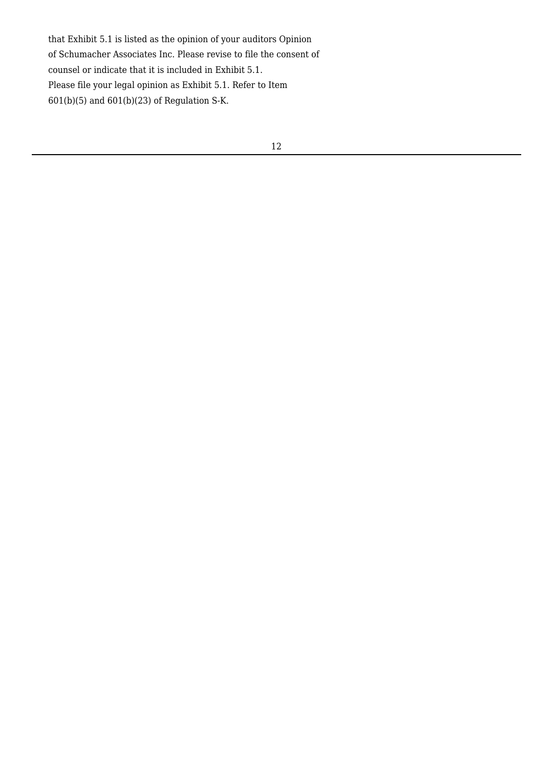that Exhibit 5.1 is listed as the opinion of your auditors Opinion of Schumacher Associates Inc. Please revise to file the consent of counsel or indicate that it is included in Exhibit 5.1. Please file your legal opinion as Exhibit 5.1. Refer to Item  $601(b)(5)$  and  $601(b)(23)$  of Regulation S-K.